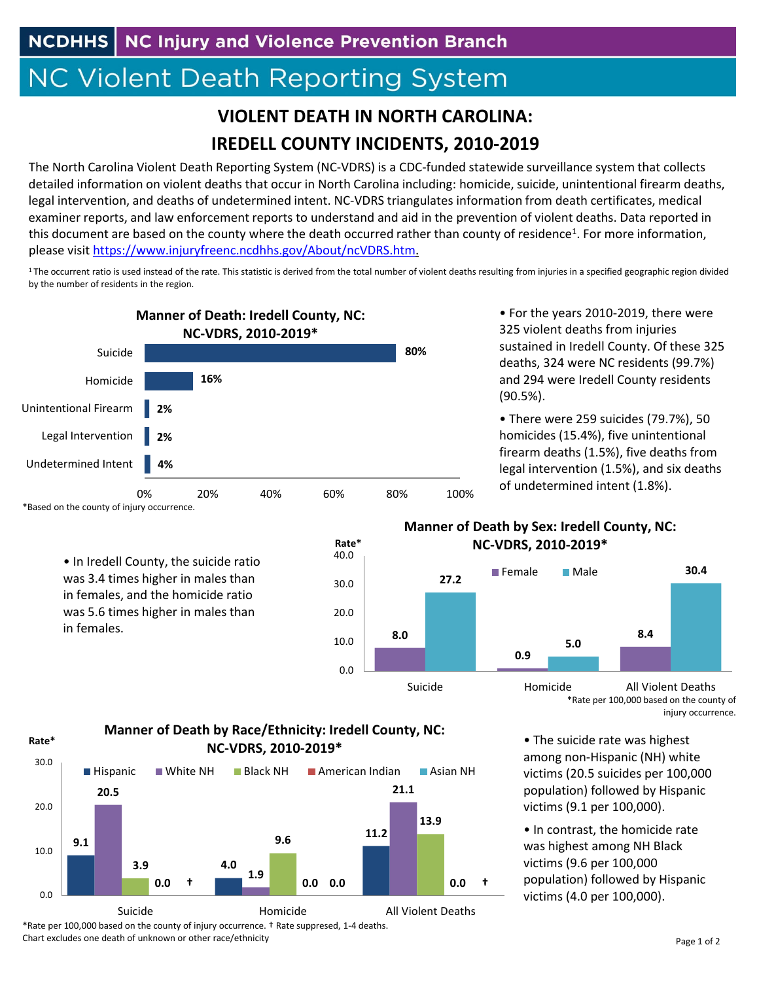**NCDHHS** NC Injury and Violence Prevention Branch

## **NC Violent Death Reporting System**

## **VIOLENT DEATH IN NORTH CAROLINA: IREDELL COUNTY INCIDENTS, 2010‐2019**

The North Carolina Violent Death Reporting System (NC‐VDRS) is a CDC‐funded statewide surveillance system that collects detailed information on violent deaths that occur in North Carolina including: homicide, suicide, unintentional firearm deaths, legal intervention, and deaths of undetermined intent. NC‐VDRS triangulates information from death certificates, medical examiner reports, and law enforcement reports to understand and aid in the prevention of violent deaths. Data reported in this document are based on the county where the death occurred rather than county of residence<sup>1</sup>. For more information, please visit https://www.injuryfreenc.ncdhhs.gov/About/ncVDRS.htm.

<sup>1</sup>The occurrent ratio is used instead of the rate. This statistic is derived from the total number of violent deaths resulting from injuries in a specified geographic region divided by the number of residents in the region.



• For the years 2010‐2019, there were 325 violent deaths from injuries sustained in Iredell County. Of these 325 deaths, 324 were NC residents (99.7%) and 294 were Iredell County residents (90.5%).

• There were 259 suicides (79.7%), 50 homicides (15.4%), five unintentional firearm deaths (1.5%), five deaths from legal intervention (1.5%), and six deaths of undetermined intent (1.8%).



**Rate\***

**Manner of Death by Sex: Iredell County, NC: NC‐VDRS, 2010‐2019\***



\*Rate per 100,000 based on the county of injury occurrence.

• The suicide rate was highest among non‐Hispanic (NH) white victims (20.5 suicides per 100,000 population) followed by Hispanic victims (9.1 per 100,000).

• In contrast, the homicide rate was highest among NH Black victims (9.6 per 100,000 population) followed by Hispanic victims (4.0 per 100,000).

## **Manner of Death by Race/Ethnicity: Iredell County, NC: NC‐VDRS, 2010‐2019\***

0.0

10.0

20.0

30.0

40.0

**Rate\***



\*Rate per 100,000 based on the county of injury occurrence. † Rate suppresed, 1‐4 deaths. Chart excludes one death of unknown or other race/ethnicity